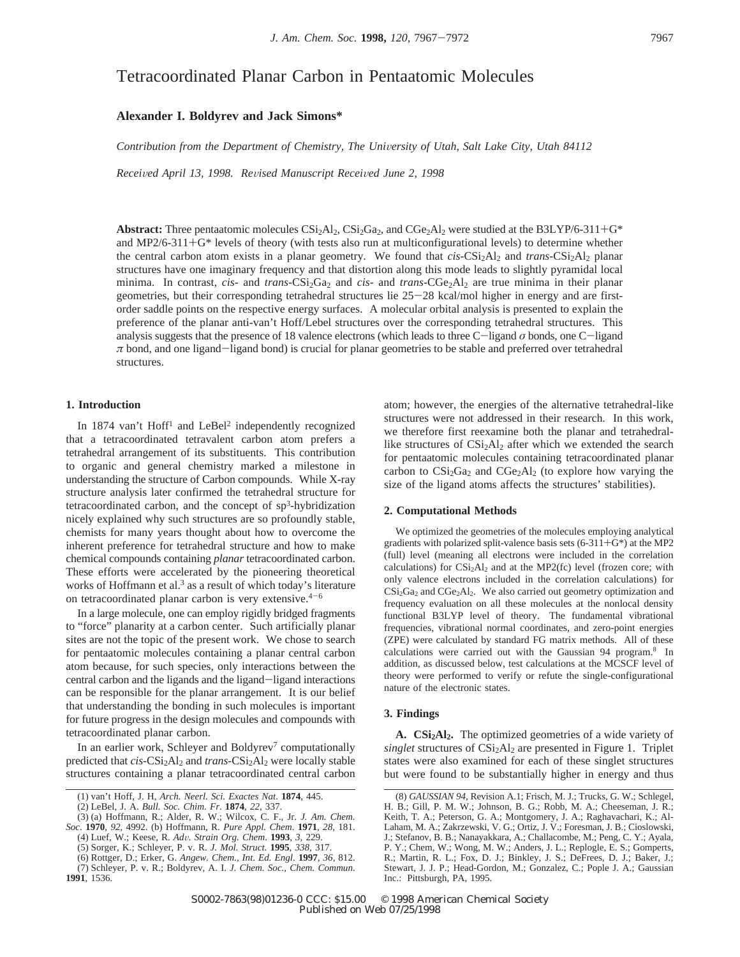# Tetracoordinated Planar Carbon in Pentaatomic Molecules

# **Alexander I. Boldyrev and Jack Simons\***

*Contribution from the Department of Chemistry, The University of Utah, Salt Lake City, Utah 84112* 

*Received April 13, 1998. Revised Manuscript Received June 2, 1998* 

**Abstract:** Three pentaatomic molecules  $CSi_2Al_2$ ,  $CSi_2Ga_2$ , and  $CGe_2Al_2$  were studied at the B3LYP/6-311+G<sup>\*</sup> and MP2/6-311 $+G^*$  levels of theory (with tests also run at multiconfigurational levels) to determine whether the central carbon atom exists in a planar geometry. We found that *cis*-CSi<sub>2</sub>Al<sub>2</sub> and *trans*-CSi<sub>2</sub>Al<sub>2</sub> planar structures have one imaginary frequency and that distortion along this mode leads to slightly pyramidal local minima. In contrast, *cis*- and *trans*-CSi<sub>2</sub>Ga<sub>2</sub> and *cis*- and *trans*-CGe<sub>2</sub>Al<sub>2</sub> are true minima in their planar geometries, but their corresponding tetrahedral structures lie 25-28 kcal/mol higher in energy and are firstorder saddle points on the respective energy surfaces. A molecular orbital analysis is presented to explain the preference of the planar anti-van't Hoff/Lebel structures over the corresponding tetrahedral structures. This analysis suggests that the presence of 18 valence electrons (which leads to three C-ligand  $\sigma$  bonds, one C-ligand *<sup>π</sup>* bond, and one ligand-ligand bond) is crucial for planar geometries to be stable and preferred over tetrahedral structures.

# **1. Introduction**

**1991**, 1536.

In 1874 van't Hoff<sup>1</sup> and LeBel<sup>2</sup> independently recognized that a tetracoordinated tetravalent carbon atom prefers a tetrahedral arrangement of its substituents. This contribution to organic and general chemistry marked a milestone in understanding the structure of Carbon compounds. While X-ray structure analysis later confirmed the tetrahedral structure for tetracoordinated carbon, and the concept of  $sp<sup>3</sup>$ -hybridization nicely explained why such structures are so profoundly stable, chemists for many years thought about how to overcome the inherent preference for tetrahedral structure and how to make chemical compounds containing *planar* tetracoordinated carbon. These efforts were accelerated by the pioneering theoretical works of Hoffmann et al.<sup>3</sup> as a result of which today's literature on tetracoordinated planar carbon is very extensive. $4-6$ 

In a large molecule, one can employ rigidly bridged fragments to "force" planarity at a carbon center. Such artificially planar sites are not the topic of the present work. We chose to search for pentaatomic molecules containing a planar central carbon atom because, for such species, only interactions between the central carbon and the ligands and the ligand-ligand interactions can be responsible for the planar arrangement. It is our belief that understanding the bonding in such molecules is important for future progress in the design molecules and compounds with tetracoordinated planar carbon.

In an earlier work, Schleyer and Boldyrev<sup>7</sup> computationally predicted that *cis*-CSi<sub>2</sub>Al<sub>2</sub> and *trans*-CSi<sub>2</sub>Al<sub>2</sub> were locally stable structures containing a planar tetracoordinated central carbon

atom; however, the energies of the alternative tetrahedral-like structures were not addressed in their research. In this work, we therefore first reexamine both the planar and tetrahedrallike structures of  $CSi<sub>2</sub>Al<sub>2</sub>$  after which we extended the search for pentaatomic molecules containing tetracoordinated planar carbon to  $CSi<sub>2</sub>Ga<sub>2</sub>$  and  $CGe<sub>2</sub>Al<sub>2</sub>$  (to explore how varying the size of the ligand atoms affects the structures' stabilities).

## **2. Computational Methods**

We optimized the geometries of the molecules employing analytical gradients with polarized split-valence basis sets  $(6-311+G^*)$  at the MP2 (full) level (meaning all electrons were included in the correlation calculations) for  $CSi<sub>2</sub>Al<sub>2</sub>$  and at the MP2(fc) level (frozen core; with only valence electrons included in the correlation calculations) for  $CSi<sub>2</sub>Ga<sub>2</sub>$  and  $CGe<sub>2</sub>Al<sub>2</sub>$ . We also carried out geometry optimization and frequency evaluation on all these molecules at the nonlocal density functional B3LYP level of theory. The fundamental vibrational frequencies, vibrational normal coordinates, and zero-point energies (ZPE) were calculated by standard FG matrix methods. All of these calculations were carried out with the Gaussian 94 program.8 In addition, as discussed below, test calculations at the MCSCF level of theory were performed to verify or refute the single-configurational nature of the electronic states.

#### **3. Findings**

**A. CSi2Al2.** The optimized geometries of a wide variety of *singlet* structures of  $CSi<sub>2</sub>Al<sub>2</sub>$  are presented in Figure 1. Triplet states were also examined for each of these singlet structures but were found to be substantially higher in energy and thus

<sup>(1)</sup> van't Hoff, J. H, *Arch. Neerl. Sci. Exactes Nat*. **1874**, 445.

<sup>(2)</sup> LeBel, J. A. *Bull. Soc. Chim. Fr*. **1874**, *22*, 337.

<sup>(3) (</sup>a) Hoffmann, R.; Alder, R. W.; Wilcox, C. F., Jr. *J. Am. Chem. Soc*. **1970**, *92*, 4992. (b) Hoffmann, R. *Pure Appl. Chem*. **1971**, *28*, 181. (4) Luef, W.; Keese, R. *Ad*V*. Strain Org. Chem*. **<sup>1993</sup>**, *<sup>3</sup>*, 229.

<sup>(5)</sup> Sorger, K.; Schleyer, P. v. R. *J. Mol. Struct*. **1995**, *338*, 317.

<sup>(6)</sup> Rottger, D.; Erker, G. *Angew. Chem., Int. Ed. Engl*. **1997**, *36*, 812. (7) Schleyer, P. v. R.; Boldyrev, A. I. *J. Chem. Soc., Chem. Commun*.

<sup>(8)</sup> *GAUSSIAN 94*, Revision A.1; Frisch, M. J.; Trucks, G. W.; Schlegel, H. B.; Gill, P. M. W.; Johnson, B. G.; Robb, M. A.; Cheeseman, J. R.; Keith, T. A.; Peterson, G. A.; Montgomery, J. A.; Raghavachari, K.; Al-Laham, M. A.; Zakrzewski, V. G.; Ortiz, J. V.; Foresman, J. B.; Cioslowski, J.; Stefanov, B. B.; Nanayakkara, A.; Challacombe, M.; Peng, C. Y.; Ayala, P. Y.; Chem, W.; Wong, M. W.; Anders, J. L.; Replogle, E. S.; Gomperts, R.; Martin, R. L.; Fox, D. J.; Binkley, J. S.; DeFrees, D. J.; Baker, J.; Stewart, J. J. P.; Head-Gordon, M.; Gonzalez, C.; Pople J. A.; Gaussian Inc.: Pittsburgh, PA, 1995.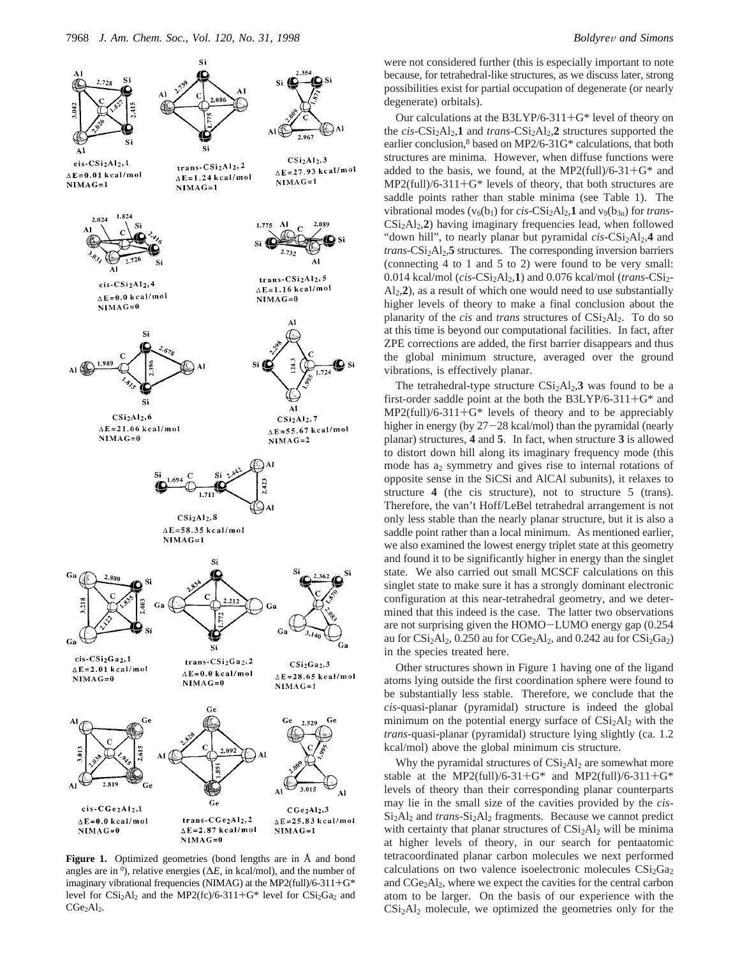

**Figure 1.** Optimized geometries (bond lengths are in Å and bond angles are in  $\theta$ ), relative energies ( $\Delta E$ , in kcal/mol), and the number of imaginary vibrational frequencies (NIMAG) at the MP2(full)/6-311+G\* level for  $CSi<sub>2</sub>Al<sub>2</sub>$  and the MP2(fc)/6-311+G\* level for  $CSi<sub>2</sub>Ga<sub>2</sub>$  and CGe<sub>2</sub>Al<sub>2</sub>.

were not considered further (this is especially important to note because, for tetrahedral-like structures, as we discuss later, strong possibilities exist for partial occupation of degenerate (or nearly degenerate) orbitals).

Our calculations at the B3LYP/6-311+G\* level of theory on the  $cis$ - $CSi<sub>2</sub>Al<sub>2</sub>$ , **1** and *trans*- $CSi<sub>2</sub>Al<sub>2</sub>$ , **2** structures supported the earlier conclusion, $8$  based on MP2/6-31G\* calculations, that both structures are minima. However, when diffuse functions were added to the basis, we found, at the MP2(full)/6-31+ $G^*$  and  $MP2$ (full)/6-311+G\* levels of theory, that both structures are saddle points rather than stable minima (see Table 1). The vibrational modes ( $v_6(b_1)$  for *cis*-CSi<sub>2</sub>Al<sub>2</sub>,1 and  $v_9(b_{3u})$  for *trans*-CSi2Al2,**2**) having imaginary frequencies lead, when followed "down hill", to nearly planar but pyramidal *cis*-CSi<sub>2</sub>Al<sub>2</sub>,4 and trans-CSi<sub>2</sub>Al<sub>2</sub>,5 structures. The corresponding inversion barriers (connecting 4 to 1 and 5 to 2) were found to be very small: 0.014 kcal/mol (*cis*-CSi<sub>2</sub>Al<sub>2</sub>,1) and 0.076 kcal/mol (*trans*-CSi<sub>2</sub>-Al2,**2**), as a result of which one would need to use substantially higher levels of theory to make a final conclusion about the planarity of the *cis* and *trans* structures of CSi<sub>2</sub>Al<sub>2</sub>. To do so at this time is beyond our computational facilities. In fact, after ZPE corrections are added, the first barrier disappears and thus the global minimum structure, averaged over the ground vibrations, is effectively planar.

The tetrahedral-type structure  $CSi<sub>2</sub>Al<sub>2</sub>$ , **3** was found to be a first-order saddle point at the both the B3LYP/6-311+G\* and MP2(full)/6-311+G\* levels of theory and to be appreciably higher in energy (by  $27-28$  kcal/mol) than the pyramidal (nearly planar) structures, **4** and **5**. In fact, when structure **3** is allowed to distort down hill along its imaginary frequency mode (this mode has  $a_2$  symmetry and gives rise to internal rotations of opposite sense in the SiCSi and AlCAl subunits), it relaxes to structure 4 (the cis structure), not to structure 5 (trans). Therefore, the van't Hoff/LeBel tetrahedral arrangement is not only less stable than the nearly planar structure, but it is also a saddle point rather than a local minimum. As mentioned earlier, we also examined the lowest energy triplet state at this geometry and found it to be significantly higher in energy than the singlet state. We also carried out small MCSCF calculations on this singlet state to make sure it has a strongly dominant electronic configuration at this near-tetrahedral geometry, and we determined that this indeed is the case. The latter two observations are not surprising given the HOMO-LUMO energy gap (0.254 au for  $CSi<sub>2</sub>Al<sub>2</sub>$ , 0.250 au for  $CGe<sub>2</sub>Al<sub>2</sub>$ , and 0.242 au for  $CSi<sub>2</sub>Ga<sub>2</sub>$ ) in the species treated here.

Other structures shown in Figure 1 having one of the ligand atoms lying outside the first coordination sphere were found to be substantially less stable. Therefore, we conclude that the *cis*-quasi-planar (pyramidal) structure is indeed the global minimum on the potential energy surface of  $CSi<sub>2</sub>A1<sub>2</sub>$  with the *trans*-quasi-planar (pyramidal) structure lying slightly (ca. 1.2 kcal/mol) above the global minimum cis structure.

Why the pyramidal structures of CSi<sub>2</sub>Al<sub>2</sub> are somewhat more stable at the MP2(full)/6-31+G\* and MP2(full)/6-311+G\* levels of theory than their corresponding planar counterparts may lie in the small size of the cavities provided by the *cis*-Si<sub>2</sub>Al<sub>2</sub> and *trans*-Si<sub>2</sub>Al<sub>2</sub> fragments. Because we cannot predict with certainty that planar structures of  $CSi<sub>2</sub>Al<sub>2</sub>$  will be minima at higher levels of theory, in our search for pentaatomic tetracoordinated planar carbon molecules we next performed calculations on two valence isoelectronic molecules  $CSi<sub>2</sub>Ga<sub>2</sub>$ and CGe2Al2, where we expect the cavities for the central carbon atom to be larger. On the basis of our experience with the  $CSi<sub>2</sub>Al<sub>2</sub>$  molecule, we optimized the geometries only for the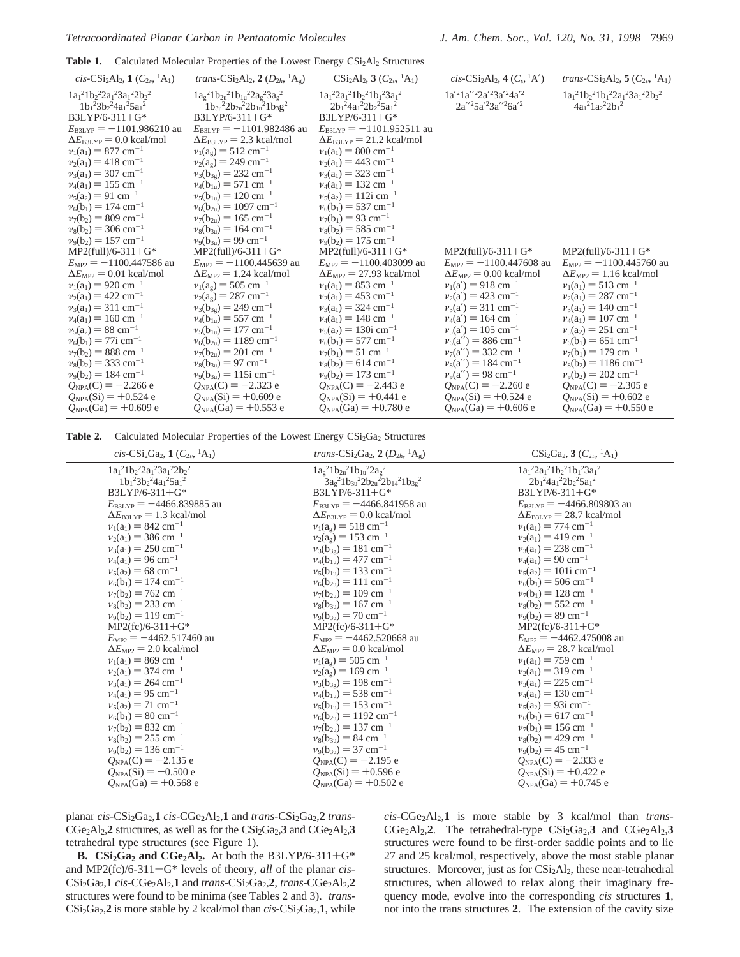Table 1. Calculated Molecular Properties of the Lowest Energy CSi<sub>2</sub>Al<sub>2</sub> Structures

| cis-CSi <sub>2</sub> Al <sub>2</sub> , 1 ( $C_{2v}$ , <sup>1</sup> A <sub>1</sub> ) | trans- $\text{CSi}_2\text{Al}_2$ , 2 $(D_{2h}, {}^1\text{A}_2)$                          | $CSi_2Al_2$ , 3 $(C_{2n}$ , <sup>1</sup> A <sub>1</sub> )      | cis-CSi <sub>2</sub> Al <sub>2</sub> , 4 $(C_s$ <sup>1</sup> A <sup>2</sup> ) | <i>trans-CSi</i> <sub>2</sub> Al <sub>2</sub> , 5 ( $C_{2n}$ <sup>1</sup> A <sub>1</sub> ) |
|-------------------------------------------------------------------------------------|------------------------------------------------------------------------------------------|----------------------------------------------------------------|-------------------------------------------------------------------------------|--------------------------------------------------------------------------------------------|
| $1a_1^21b_2^22a_1^23a_1^22b_2^2$<br>$1b_1^23b_2^24a_1^25a_1^2$                      | $1a_g^21b_{2u}^21b_{1u}^22a_g^23a_g^2$<br>$1b_{3u}^{2}2b_{2u}^{2}2b_{1u}^{2}1b_{3}g^{2}$ | $1a_1^22a_1^21b_2^21b_1^23a_1^2$<br>$2b_1^24a_1^22b_2^25a_1^2$ | $1a'^21a''^22a'^23a'^24a'^2$<br>$2a''^25a'^23a''^26a'^2$                      | $1a_1{}^21b_2{}^21b_1{}^22a_1{}^23a_1{}^22b_2{}^2$<br>$4a_1^2 1a_2^2 2b_1^2$               |
| $B3LYP/6-311+G*$                                                                    | $B3LYP/6-311+G*$                                                                         | $B3LYP/6-311+G*$                                               |                                                                               |                                                                                            |
| $E_{\text{B3LYP}} = -1101.986210 \text{ au}$                                        | $E_{\text{B3LYP}} = -1101.982486$ au                                                     | $E_{\text{B3LYP}} = -1101.952511$ au                           |                                                                               |                                                                                            |
| $\Delta E_{\text{B3LYP}}$ = 0.0 kcal/mol                                            | $\Delta E_{\text{B3LYP}}$ = 2.3 kcal/mol                                                 | $\Delta E_{\text{B3LYP}}$ = 21.2 kcal/mol                      |                                                                               |                                                                                            |
| $v_1(a_1) = 877$ cm <sup>-1</sup>                                                   | $v_1(a_g) = 512$ cm <sup>-1</sup>                                                        | $v_1(a_1) = 800$ cm <sup>-1</sup>                              |                                                                               |                                                                                            |
| $v_2(a_1) = 418$ cm <sup>-1</sup>                                                   | $v_2(a_g) = 249$ cm <sup>-1</sup>                                                        | $v_2(a_1) = 443$ cm <sup>-1</sup>                              |                                                                               |                                                                                            |
| $v_3(a_1) = 307$ cm <sup>-1</sup>                                                   | $v_3(b_{3g}) = 232$ cm <sup>-1</sup>                                                     | $v_3(a_1) = 323$ cm <sup>-1</sup>                              |                                                                               |                                                                                            |
| $v_4(a_1) = 155$ cm <sup>-1</sup>                                                   | $v_4(b_{1u}) = 571$ cm <sup>-1</sup>                                                     | $v_4(a_1) = 132$ cm <sup>-1</sup>                              |                                                                               |                                                                                            |
| $v_5(a_2) = 91$ cm <sup>-1</sup>                                                    | $v_5(b_{1u}) = 120 \text{ cm}^{-1}$                                                      | $v_5(a_2) = 112i$ cm <sup>-1</sup>                             |                                                                               |                                                                                            |
| $v_6(b_1) = 174$ cm <sup>-1</sup>                                                   | $v_6(b_{2u}) = 1097$ cm <sup>-1</sup>                                                    | $v_6(b_1) = 537$ cm <sup>-1</sup>                              |                                                                               |                                                                                            |
| $v_7(b_2) = 809$ cm <sup>-1</sup>                                                   | $v_7(b_{2u}) = 165$ cm <sup>-1</sup>                                                     | $v_7(b_1) = 93$ cm <sup>-1</sup>                               |                                                                               |                                                                                            |
| $v_8(b_2) = 306$ cm <sup>-1</sup>                                                   | $v_8(b_{3u}) = 164$ cm <sup>-1</sup>                                                     | $v_8(b_2) = 585$ cm <sup>-1</sup>                              |                                                                               |                                                                                            |
| $v_9(b_2) = 157$ cm <sup>-1</sup>                                                   | $v_9(b_{3u}) = 99$ cm <sup>-1</sup>                                                      | $v_9(b_2) = 175$ cm <sup>-1</sup>                              |                                                                               |                                                                                            |
| $MP2$ (full)/6-311+G*                                                               | $MP2$ (full)/6-311+G*                                                                    | $MP2$ (full)/6-311+G*                                          | $MP2$ (full)/6-311+G*                                                         | $MP2$ (full)/6-311+G*                                                                      |
| $E_{MP2}$ = -1100.447586 au                                                         | $E_{MP2}$ = -1100.445639 au                                                              | $E_{MP2}$ = -1100.403099 au                                    | $E_{\text{MP2}} = -1100.447608$ au                                            | $E_{MP2} = -1100.445760$ au                                                                |
| $\Delta E_{\text{MP2}} = 0.01$ kcal/mol                                             | $\Delta E_{\text{MP2}} = 1.24$ kcal/mol                                                  | $\Delta E_{MP2}$ = 27.93 kcal/mol                              | $\Delta E_{\text{MP2}}$ = 0.00 kcal/mol                                       | $\Delta E_{\text{MP2}} = 1.16 \text{ kcal/mol}$                                            |
| $v_1(a_1) = 920$ cm <sup>-1</sup>                                                   | $v_1(a_g) = 505$ cm <sup>-1</sup>                                                        | $v_1(a_1) = 853$ cm <sup>-1</sup>                              | $v_1(a') = 918$ cm <sup>-1</sup>                                              | $v_1(a_1) = 513$ cm <sup>-1</sup>                                                          |
| $v_2(a_1) = 422$ cm <sup>-1</sup>                                                   | $v_2(a_g) = 287$ cm <sup>-1</sup>                                                        | $v_2(a_1) = 453$ cm <sup>-1</sup>                              | $v_2(a') = 423$ cm <sup>-1</sup>                                              | $v_2(a_1) = 287$ cm <sup>-1</sup>                                                          |
| $v_3(a_1) = 311$ cm <sup>-1</sup>                                                   | $v_3(b_{3g}) = 249$ cm <sup>-1</sup>                                                     | $v_3(a_1) = 324$ cm <sup>-1</sup>                              | $v_3(a') = 311$ cm <sup>-1</sup>                                              | $v_3(a_1) = 140$ cm <sup>-1</sup>                                                          |
| $v_4(a_1) = 160$ cm <sup>-1</sup>                                                   | $v_4(b_{1u}) = 557$ cm <sup>-1</sup>                                                     | $v_4(a_1) = 148$ cm <sup>-1</sup>                              | $v_4(a') = 164$ cm <sup>-1</sup>                                              | $v_4(a_1) = 107$ cm <sup>-1</sup>                                                          |
| $v_5(a_2) = 88$ cm <sup>-1</sup>                                                    | $v_5(b_{1u}) = 177$ cm <sup>-1</sup>                                                     | $v_5(a_2) = 130$ i cm <sup>-1</sup>                            | $v_5(a') = 105$ cm <sup>-1</sup>                                              | $v_5(a_2) = 251$ cm <sup>-1</sup>                                                          |
| $v_6(b_1) = 77$ i cm <sup>-1</sup>                                                  | $v_6(b_{2u}) = 1189$ cm <sup>-1</sup>                                                    | $v_6(b_1) = 577$ cm <sup>-1</sup>                              | $v_6(a'') = 886$ cm <sup>-1</sup>                                             | $v_6(b_1) = 651$ cm <sup>-1</sup>                                                          |
| $v_7(b_2) = 888$ cm <sup>-1</sup>                                                   | $v_7(b_{2u}) = 201$ cm <sup>-1</sup>                                                     | $v_7(b_1) = 51$ cm <sup>-1</sup>                               | $v_7(a'') = 332 \text{ cm}^{-1}$                                              | $v_7(b_1) = 179$ cm <sup>-1</sup>                                                          |
| $v_8(b_2) = 333$ cm <sup>-1</sup>                                                   | $v_8(b_{3u}) = 97$ cm <sup>-1</sup>                                                      | $v_8(b_2) = 614$ cm <sup>-1</sup>                              | $v_8(a'') = 184$ cm <sup>-1</sup>                                             | $v_8(b_2) = 1186$ cm <sup>-1</sup>                                                         |
| $v_9(b_2) = 184$ cm <sup>-1</sup>                                                   | $v_9(b_{3u}) = 115$ i cm <sup>-1</sup>                                                   | $v_9(b_2) = 173$ cm <sup>-1</sup>                              | $v_9(a'') = 98$ cm <sup>-1</sup>                                              | $v_9(b_2) = 202$ cm <sup>-1</sup>                                                          |
| $Q_{NPA}(C) = -2.266$ e                                                             | $Q_{NPA}(C) = -2.323$ e                                                                  | $Q_{NPA}(C) = -2.443$ e                                        | $Q_{NPA}(C) = -2.260 e$                                                       | $Q_{NPA}(C) = -2.305$ e                                                                    |
| $Q_{NPA}(Si) = +0.524$ e                                                            | $Q_{NPA}(Si) = +0.609 e$                                                                 | $Q_{NPA}(Si) = +0.441$ e                                       | $Q_{NPA}(Si) = +0.524$ e                                                      | $Q_{NPA}(Si) = +0.602$ e                                                                   |
| $Q_{NPA}$ (Ga) = +0.609 e                                                           | $Q_{NPA}$ (Ga) = +0.553 e                                                                | $Q_{NPA}$ (Ga) = +0.780 e                                      | $Q_{NPA}$ (Ga) = +0.606 e                                                     | $Q_{NPA}$ (Ga) = +0.550 e                                                                  |
|                                                                                     |                                                                                          |                                                                |                                                                               |                                                                                            |

Table 2. Calculated Molecular Properties of the Lowest Energy CSi<sub>2</sub>Ga<sub>2</sub> Structures

| cis-CSi <sub>2</sub> Ga <sub>2</sub> , 1 ( $C_{2\nu}$ , <sup>1</sup> A <sub>1</sub> ) | <i>trans</i> -CSi <sub>2</sub> Ga <sub>2</sub> , 2 ( $D_{2h}$ , <sup>1</sup> A <sub>g</sub> ) | $CSi_2Ga_2$ , 3 $(C_{2\nu}$ , <sup>1</sup> A <sub>1</sub> ) |
|---------------------------------------------------------------------------------------|-----------------------------------------------------------------------------------------------|-------------------------------------------------------------|
| $1a_1^21b_2^22a_1^23a_1^22b_2^2$                                                      | $1a_g^21b_{2u}^21b_{1u}^22a_g^2$                                                              | $1a_1^22a_1^21b_2^21b_1^23a_1^2$                            |
| $1b_1^23b_2^24a_1^25a_1^2$                                                            | $3a_g^21b_{3u}^22b_{2u}^22b_{14}^21b_{3g}^2$                                                  | $2b_1^24a_1^22b_2^25a_1^2$                                  |
| $B3LYP/6-311+G*$                                                                      | $B3LYP/6-311+G*$                                                                              | B3LYP/6-311+G*                                              |
| $E_{\text{B3LYP}} = -4466.839885$ au                                                  | $E_{\text{B3LYP}} = -4466.841958$ au                                                          | $E_{\text{B3LYP}} = -4466.809803$ au                        |
| $\Delta E_{\text{B3LYP}} = 1.3 \text{ kcal/mol}$                                      | $\Delta E_{\text{B3LYP}}$ = 0.0 kcal/mol                                                      | $\Delta E_{\text{B3LYP}}$ = 28.7 kcal/mol                   |
| $v_1(a_1) = 842$ cm <sup>-1</sup>                                                     | $v_1(a_g) = 518$ cm <sup>-1</sup>                                                             | $v_1(a_1) = 774$ cm <sup>-1</sup>                           |
| $v_2(a_1) = 386$ cm <sup>-1</sup>                                                     | $v_2(a_g) = 153$ cm <sup>-1</sup>                                                             | $v_2(a_1) = 419$ cm <sup>-1</sup>                           |
| $v_3(a_1) = 250$ cm <sup>-1</sup>                                                     | $v_3(b_{3g}) = 181$ cm <sup>-1</sup>                                                          | $v_3(a_1) = 238$ cm <sup>-1</sup>                           |
| $v_4(a_1) = 96$ cm <sup>-1</sup>                                                      | $v_4(b_{1u}) = 477$ cm <sup>-1</sup>                                                          | $v_4(a_1) = 90$ cm <sup>-1</sup>                            |
| $v_5(a_2) = 68$ cm <sup>-1</sup>                                                      | $v_5(b_{1u}) = 133$ cm <sup>-1</sup>                                                          | $v_5(a_2) = 101$ i cm <sup>-1</sup>                         |
| $v_6(b_1) = 174$ cm <sup>-1</sup>                                                     | $v_6(b_{2u}) = 111$ cm <sup>-1</sup>                                                          | $v_6(b_1) = 506$ cm <sup>-1</sup>                           |
| $v_7(b_2) = 762$ cm <sup>-1</sup>                                                     | $v_7(b_{2u}) = 109$ cm <sup>-1</sup>                                                          | $v_7(b_1) = 128$ cm <sup>-1</sup>                           |
| $v_8(b_2) = 233$ cm <sup>-1</sup>                                                     | $v_8(b_{3u}) = 167$ cm <sup>-1</sup>                                                          | $v_8(b_2) = 552$ cm <sup>-1</sup>                           |
| $v_9(b_2) = 119$ cm <sup>-1</sup>                                                     | $v_9(b_{3u}) = 70 \text{ cm}^{-1}$                                                            | $v_9(b_2) = 89$ cm <sup>-1</sup>                            |
| $MP2(fc)/6-311+G*$                                                                    | $MP2(fc)/6-311+G*$                                                                            | $MP2(fc)/6-311+G*$                                          |
| $E_{MP2} = -4462.517460$ au                                                           | $E_{MP2} = -4462.520668$ au                                                                   | $E_{\text{MP2}} = -4462.475008$ au                          |
| $\Delta E_{\text{MP2}}$ = 2.0 kcal/mol                                                | $\Delta E_{\text{MP2}} = 0.0 \text{ kcal/mol}$                                                | $\Delta E_{MP2}$ = 28.7 kcal/mol                            |
| $v_1(a_1) = 869$ cm <sup>-1</sup>                                                     | $v_1(a_g) = 505$ cm <sup>-1</sup>                                                             | $v_1(a_1) = 759$ cm <sup>-1</sup>                           |
| $v_2(a_1) = 374$ cm <sup>-1</sup>                                                     | $v_2(a_g) = 169$ cm <sup>-1</sup>                                                             | $v_2(a_1) = 319$ cm <sup>-1</sup>                           |
| $v_3(a_1) = 264$ cm <sup>-1</sup>                                                     | $v_3(b_{3g}) = 198$ cm <sup>-1</sup>                                                          | $v_3(a_1) = 225$ cm <sup>-1</sup>                           |
| $v_4(a_1) = 95$ cm <sup>-1</sup>                                                      | $v_4(b_{1u}) = 538$ cm <sup>-1</sup>                                                          | $v_4(a_1) = 130$ cm <sup>-1</sup>                           |
| $v_5(a_2) = 71$ cm <sup>-1</sup>                                                      | $v_5(b_{1u}) = 153$ cm <sup>-1</sup>                                                          | $v_5(a_2) = 93i$ cm <sup>-1</sup>                           |
| $v_6(b_1) = 80$ cm <sup>-1</sup>                                                      | $v_6(b_{2u}) = 1192$ cm <sup>-1</sup>                                                         | $v_6(b_1) = 617$ cm <sup>-1</sup>                           |
| $v_7(b_2) = 832$ cm <sup>-1</sup>                                                     | $v_7(b_{2u}) = 137$ cm <sup>-1</sup>                                                          | $v_7(b_1) = 156$ cm <sup>-1</sup>                           |
| $v_8(b_2) = 255$ cm <sup>-1</sup>                                                     | $v_8(b_{3u}) = 84$ cm <sup>-1</sup>                                                           | $v_8(b_2) = 429$ cm <sup>-1</sup>                           |
| $v_9(b_2) = 136$ cm <sup>-1</sup>                                                     | $v_9(b_{3u}) = 37$ cm <sup>-1</sup>                                                           | $v_9(b_2) = 45$ cm <sup>-1</sup>                            |
| $Q_{NPA}(C) = -2.135 e$                                                               | $Q_{NPA}(C) = -2.195 e$                                                                       | $Q_{NPA}(C) = -2.333 e$                                     |
| $Q_{NPA}(Si) = +0.500 e$                                                              | $Q_{NPA}(Si) = +0.596 e$                                                                      | $Q_{NPA}(Si) = +0.422$ e                                    |
| $Q_{NPA}$ (Ga) = +0.568 e                                                             | $Q_{NPA}$ (Ga) = +0.502 e                                                                     | $Q_{NPA}(Ga) = +0.745 e$                                    |

planar *cis*-CSi<sub>2</sub>Ga<sub>2</sub>,1</sub> *cis*-CGe<sub>2</sub>Al<sub>2</sub>,1 and *trans*-CSi<sub>2</sub>Ga<sub>2</sub>,2 *trans*-CGe<sub>2</sub>Al<sub>2</sub>,2<sup>2</sup> structures, as well as for the CSi<sub>2</sub>Ga<sub>2</sub>,3<sup>3</sup> and CGe<sub>2</sub>Al<sub>2</sub>,3<sup>2</sup> tetrahedral type structures (see Figure 1).

**B.**  $CSi<sub>2</sub>Ga<sub>2</sub>$  **and**  $CGe<sub>2</sub>Al<sub>2</sub>$ **. At both the B3LYP/6-311+G\*** and MP2(fc)/6-311+G\* levels of theory, *all* of the planar *cis*-CSi2Ga2,**1** *cis*-CGe2Al2,**1** and *trans*-CSi2Ga2,**2**, *trans*-CGe2Al2,**2** structures were found to be minima (see Tables 2 and 3). *trans*- $CSi<sub>2</sub>Ga<sub>2</sub>,**2**$  is more stable by 2 kcal/mol than *cis*- $CSi<sub>2</sub>Ga<sub>2</sub>,**1**$ , while *cis*-CGe2Al2,**1** is more stable by 3 kcal/mol than *trans*-CGe<sub>2</sub>Al<sub>2</sub>,2. The tetrahedral-type CSi<sub>2</sub>Ga<sub>2</sub>,3 and CGe<sub>2</sub>Al<sub>2</sub>,3 structures were found to be first-order saddle points and to lie 27 and 25 kcal/mol, respectively, above the most stable planar structures. Moreover, just as for CSi<sub>2</sub>Al<sub>2</sub>, these near-tetrahedral structures, when allowed to relax along their imaginary frequency mode, evolve into the corresponding *cis* structures **1**, not into the trans structures **2**. The extension of the cavity size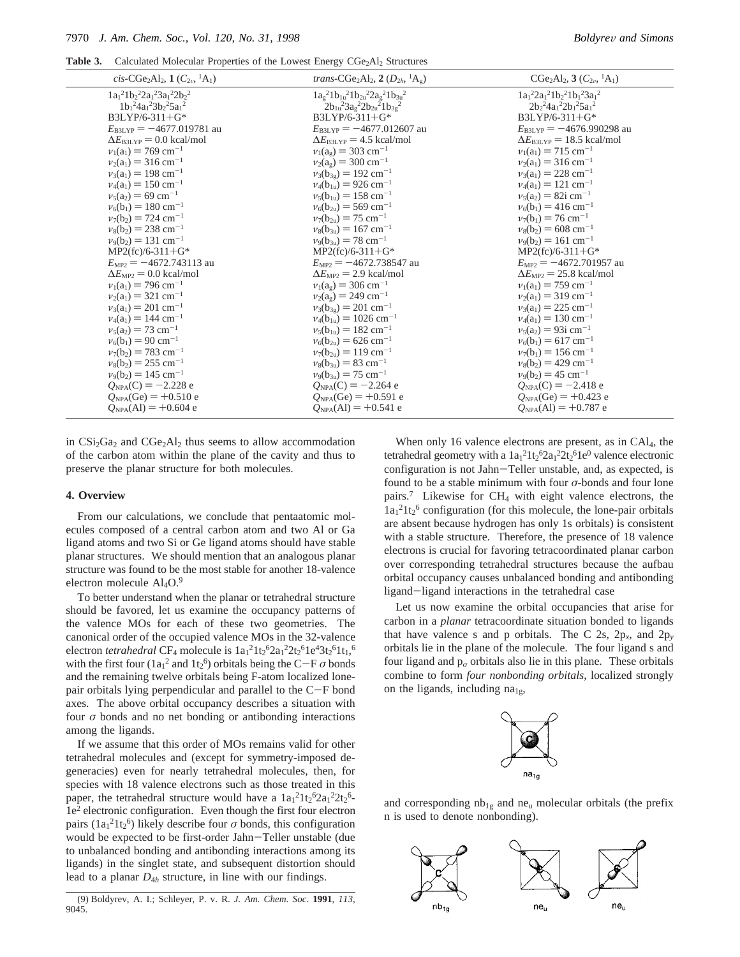**Table 3.** Calculated Molecular Properties of the Lowest Energy CGe<sub>2</sub>Al<sub>2</sub> Structures

| cis-CGe <sub>2</sub> Al <sub>2</sub> , $1(C_{2\nu}$ , <sup>1</sup> A <sub>1</sub> ) | <i>trans</i> -CGe <sub>2</sub> Al <sub>2</sub> , 2 ( $D_{2h}$ , <sup>1</sup> A <sub>g</sub> ) | $CGe_2Al_2$ , 3 $(C_{2\nu}$ , <sup>1</sup> A <sub>1</sub> ) |
|-------------------------------------------------------------------------------------|-----------------------------------------------------------------------------------------------|-------------------------------------------------------------|
| $1a_1^21b_2^22a_1^23a_1^22b_2^2$                                                    | $1a_g^21b_{1u}^21b_{2u}^22a_g^21b_{3u}^2$                                                     | $1a_1{}^22a_1{}^21b_2{}^21b_1{}^23a_1{}^2$                  |
| $1b_1{}^24a_1{}^23b_2{}^25a_1{}^2$                                                  | $2b_{1u}^{2}3a_{9}^{2}2b_{2u}^{2}1b_{3g}^{2}$                                                 | $2b_2^24a_1^22b_1^25a_1^2$                                  |
| $B3LYP/6-311+G*$                                                                    | $B3LYP/6-311+G*$                                                                              | $B3LYP/6-311+G*$                                            |
| $E_{\text{B3LYP}} = -4677.019781$ au                                                | $E_{\text{B3LYP}} = -4677.012607$ au                                                          | $E_{\text{B3LYP}} = -4676.990298$ au                        |
| $\Delta E_{\text{BJLYP}}$ = 0.0 kcal/mol                                            | $\Delta E_{\text{B3LYP}}$ = 4.5 kcal/mol                                                      | $\Delta E_{\text{B3LYP}}$ = 18.5 kcal/mol                   |
| $v_1(a_1) = 769$ cm <sup>-1</sup>                                                   | $v_1(a_g) = 303$ cm <sup>-1</sup>                                                             | $v_1(a_1) = 715$ cm <sup>-1</sup>                           |
| $v_2(a_1) = 316$ cm <sup>-1</sup>                                                   | $v_2(a_g) = 300 \text{ cm}^{-1}$                                                              | $v_2(a_1) = 316$ cm <sup>-1</sup>                           |
| $v_3(a_1) = 198$ cm <sup>-1</sup>                                                   | $v_3(b_{3g}) = 192$ cm <sup>-1</sup>                                                          | $v_3(a_1) = 228$ cm <sup>-1</sup>                           |
| $v_4(a_1) = 150$ cm <sup>-1</sup>                                                   | $v_4(b_{1u}) = 926$ cm <sup>-1</sup>                                                          | $v_4(a_1) = 121$ cm <sup>-1</sup>                           |
| $v_5(a_2) = 69$ cm <sup>-1</sup>                                                    | $v_5(b_{1u}) = 158$ cm <sup>-1</sup>                                                          | $v_5(a_2) = 82i$ cm <sup>-1</sup>                           |
| $v_6(b_1) = 180$ cm <sup>-1</sup>                                                   | $v_6(b_{2u}) = 569$ cm <sup>-1</sup>                                                          | $v_6(b_1) = 416$ cm <sup>-1</sup>                           |
| $v_7(b_2) = 724$ cm <sup>-1</sup>                                                   | $v_7(b_{2u}) = 75$ cm <sup>-1</sup>                                                           | $v_7(b_1) = 76$ cm <sup>-1</sup>                            |
| $v_8(b_2) = 238$ cm <sup>-1</sup>                                                   | $v_8(b_{3u}) = 167$ cm <sup>-1</sup>                                                          | $v_8(b_2) = 608$ cm <sup>-1</sup>                           |
| $v_9(b_2) = 131$ cm <sup>-1</sup>                                                   | $v_9(b_{3u}) = 78$ cm <sup>-1</sup>                                                           | $v_9(b_2) = 161$ cm <sup>-1</sup>                           |
| $MP2(fc)/6-311+G*$                                                                  | $MP2(fc)/6-311+G*$                                                                            | $MP2(fc)/6-311+G*$                                          |
| $E_{\text{MP2}} = -4672.743113$ au                                                  | $E_{MP2} = -4672.738547$ au                                                                   | $E_{\text{MP2}} = -4672.701957$ au                          |
| $\Delta E_{\text{MP2}} = 0.0 \text{ kcal/mol}$                                      | $\Delta E_{\text{MP2}}$ = 2.9 kcal/mol                                                        | $\Delta E_{\text{MP2}}$ = 25.8 kcal/mol                     |
| $v_1(a_1) = 796$ cm <sup>-1</sup>                                                   | $v_1(a_g) = 306$ cm <sup>-1</sup>                                                             | $v_1(a_1) = 759$ cm <sup>-1</sup>                           |
| $v_2(a_1) = 321$ cm <sup>-1</sup>                                                   | $v_2(a_g) = 249$ cm <sup>-1</sup>                                                             | $v_2(a_1) = 319$ cm <sup>-1</sup>                           |
| $v_3(a_1) = 201$ cm <sup>-1</sup>                                                   | $v_3(b_{3g}) = 201$ cm <sup>-1</sup>                                                          | $v_3(a_1) = 225$ cm <sup>-1</sup>                           |
| $v_4(a_1) = 144$ cm <sup>-1</sup>                                                   | $v_4(b_{1u}) = 1026$ cm <sup>-1</sup>                                                         | $v_4(a_1) = 130$ cm <sup>-1</sup>                           |
| $v_5(a_2) = 73$ cm <sup>-1</sup>                                                    | $v_5(b_{1u}) = 182$ cm <sup>-1</sup>                                                          | $v_5(a_2) = 93i$ cm <sup>-1</sup>                           |
| $v_6(b_1) = 90$ cm <sup>-1</sup>                                                    | $v_6(b_{2u}) = 626$ cm <sup>-1</sup>                                                          | $v_6(b_1) = 617$ cm <sup>-1</sup>                           |
| $v_7(b_2) = 783$ cm <sup>-1</sup>                                                   | $v_7(b_{2u}) = 119$ cm <sup>-1</sup>                                                          | $v_7(b_1) = 156$ cm <sup>-1</sup>                           |
| $v_8(b_2) = 255$ cm <sup>-1</sup>                                                   | $v_8(b_{3u}) = 83$ cm <sup>-1</sup>                                                           | $v_8(b_2) = 429$ cm <sup>-1</sup>                           |
| $v_9(b_2) = 145$ cm <sup>-1</sup>                                                   | $v_9(b_{3u}) = 75$ cm <sup>-1</sup>                                                           | $v_9(b_2) = 45$ cm <sup>-1</sup>                            |
| $Q_{NPA}(C) = -2.228$ e                                                             | $Q_{NPA}(C) = -2.264$ e                                                                       | $Q_{NPA}(C) = -2.418$ e                                     |
| $Q_{NPA}(Ge) = +0.510 e$                                                            | $Q_{NPA}$ (Ge) = +0.591 e                                                                     | $Q_{NPA}$ (Ge) = +0.423 e                                   |
| $Q_{NPA}(Al) = +0.604 e$                                                            | $Q_{NPA}(Al) = +0.541 e$                                                                      | $Q_{NPA}(Al) = +0.787 e$                                    |
|                                                                                     |                                                                                               |                                                             |

in CSi<sub>2</sub>Ga<sub>2</sub> and CGe<sub>2</sub>Al<sub>2</sub> thus seems to allow accommodation of the carbon atom within the plane of the cavity and thus to preserve the planar structure for both molecules.

### **4. Overview**

From our calculations, we conclude that pentaatomic molecules composed of a central carbon atom and two Al or Ga ligand atoms and two Si or Ge ligand atoms should have stable planar structures. We should mention that an analogous planar structure was found to be the most stable for another 18-valence electron molecule  $Al<sub>4</sub>O<sub>2</sub>$ <sup>9</sup>

To better understand when the planar or tetrahedral structure should be favored, let us examine the occupancy patterns of the valence MOs for each of these two geometries. The canonical order of the occupied valence MOs in the 32-valence electron *tetrahedral* CF<sub>4</sub> molecule is  $1a_1^21t_2^62a_1^22t_2^61e^43t_2^61t_1^6$ with the first four  $(1a_1^2 \text{ and } 1t_2^6)$  orbitals being the C-F *σ* bonds<br>and the remaining twelve orbitals being E-atom localized loneand the remaining twelve orbitals being F-atom localized lonepair orbitals lying perpendicular and parallel to the C-F bond axes. The above orbital occupancy describes a situation with four *σ* bonds and no net bonding or antibonding interactions among the ligands.

If we assume that this order of MOs remains valid for other tetrahedral molecules and (except for symmetry-imposed degeneracies) even for nearly tetrahedral molecules, then, for species with 18 valence electrons such as those treated in this paper, the tetrahedral structure would have a  $1a_1^21t_2^62a_1^22t_2^6$ 1e2 electronic configuration. Even though the first four electron pairs  $(1a_1^21t_2^6)$  likely describe four  $\sigma$  bonds, this configuration would be expected to be first-order Jahn-Teller unstable (due to unbalanced bonding and antibonding interactions among its ligands) in the singlet state, and subsequent distortion should lead to a planar *D*<sup>4</sup>*<sup>h</sup>* structure, in line with our findings.

When only 16 valence electrons are present, as in CAl4, the tetrahedral geometry with a  $1a_1{}^21t_2{}^62a_1{}^22t_2{}^61e^0$  valence electronic configuration is not Jahn-Teller unstable, and, as expected, is found to be a stable minimum with four *σ*-bonds and four lone pairs.7 Likewise for CH4 with eight valence electrons, the 1a1 21t2 <sup>6</sup> configuration (for this molecule, the lone-pair orbitals are absent because hydrogen has only 1s orbitals) is consistent with a stable structure. Therefore, the presence of 18 valence electrons is crucial for favoring tetracoordinated planar carbon over corresponding tetrahedral structures because the aufbau orbital occupancy causes unbalanced bonding and antibonding ligand-ligand interactions in the tetrahedral case

Let us now examine the orbital occupancies that arise for carbon in a *planar* tetracoordinate situation bonded to ligands that have valence s and p orbitals. The C 2s,  $2p_x$ , and  $2p_y$ orbitals lie in the plane of the molecule. The four ligand s and four ligand and  $p_{\sigma}$  orbitals also lie in this plane. These orbitals combine to form *four nonbonding orbitals*, localized strongly on the ligands, including  $na_{1g}$ ,



and corresponding  $nb_{1g}$  and ne<sub>u</sub> molecular orbitals (the prefix n is used to denote nonbonding).



<sup>(9)</sup> Boldyrev, A. I.; Schleyer, P. v. R. *J. Am. Chem. Soc*. **1991**, *113*, 9045.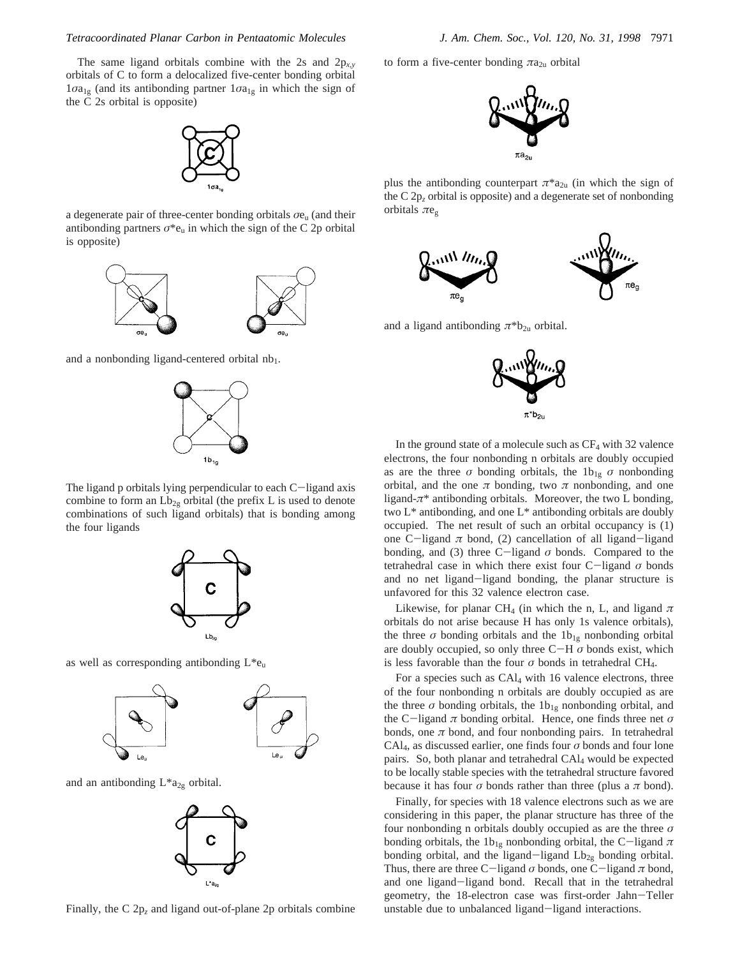The same ligand orbitals combine with the 2s and 2p*x*,*<sup>y</sup>* orbitals of C to form a delocalized five-center bonding orbital  $1\sigma a_{1g}$  (and its antibonding partner  $1\sigma a_{1g}$  in which the sign of the C 2s orbital is opposite)



a degenerate pair of three-center bonding orbitals *σ*eu (and their antibonding partners  $\sigma^*e_u$  in which the sign of the C 2p orbital is opposite)



and a nonbonding ligand-centered orbital  $nb_1$ .



The ligand p orbitals lying perpendicular to each  $C$ -ligand axis combine to form an  $Lb_{2g}$  orbital (the prefix L is used to denote combinations of such ligand orbitals) that is bonding among the four ligands



as well as corresponding antibonding  $L^*e_u$ 



and an antibonding  $L^*a_{2g}$  orbital.



Finally, the C 2p*<sup>z</sup>* and ligand out-of-plane 2p orbitals combine

to form a five-center bonding  $\pi a_{2u}$  orbital



plus the antibonding counterpart  $\pi^*a_{2u}$  (in which the sign of the C 2p*<sup>z</sup>* orbital is opposite) and a degenerate set of nonbonding orbitals *π*eg



and a ligand antibonding  $\pi^*b_{2u}$  orbital.



In the ground state of a molecule such as  $CF_4$  with 32 valence electrons, the four nonbonding n orbitals are doubly occupied as are the three  $\sigma$  bonding orbitals, the 1b<sub>1g</sub>  $\sigma$  nonbonding orbital, and the one  $\pi$  bonding, two  $\pi$  nonbonding, and one ligand-*π*\* antibonding orbitals. Moreover, the two L bonding, two L\* antibonding, and one L\* antibonding orbitals are doubly occupied. The net result of such an orbital occupancy is (1) one C-ligand  $\pi$  bond, (2) cancellation of all ligand-ligand bonding, and (3) three  $C$ -ligand  $\sigma$  bonds. Compared to the tetrahedral case in which there exist four C-ligand *<sup>σ</sup>* bonds and no net ligand-ligand bonding, the planar structure is unfavored for this 32 valence electron case.

Likewise, for planar CH<sub>4</sub> (in which the n, L, and ligand  $\pi$ orbitals do not arise because H has only 1s valence orbitals), the three  $\sigma$  bonding orbitals and the  $1b_{1g}$  nonbonding orbital are doubly occupied, so only three  $C-H \sigma$  bonds exist, which is less favorable than the four  $\sigma$  bonds in tetrahedral CH<sub>4</sub>.

For a species such as CAl4 with 16 valence electrons, three of the four nonbonding n orbitals are doubly occupied as are the three  $\sigma$  bonding orbitals, the  $1b_{1g}$  nonbonding orbital, and the C-ligand *<sup>π</sup>* bonding orbital. Hence, one finds three net *<sup>σ</sup>* bonds, one  $\pi$  bond, and four nonbonding pairs. In tetrahedral CAl4, as discussed earlier, one finds four *σ* bonds and four lone pairs. So, both planar and tetrahedral CAl4 would be expected to be locally stable species with the tetrahedral structure favored because it has four  $\sigma$  bonds rather than three (plus a  $\pi$  bond).

Finally, for species with 18 valence electrons such as we are considering in this paper, the planar structure has three of the four nonbonding n orbitals doubly occupied as are the three *σ* bonding orbitals, the 1b<sub>1g</sub> nonbonding orbital, the C-ligand  $\pi$ bonding orbital, and the ligand-ligand  $Lb_{2g}$  bonding orbital. Thus, there are three C-ligand *<sup>σ</sup>* bonds, one C-ligand *<sup>π</sup>* bond, and one ligand-ligand bond. Recall that in the tetrahedral geometry, the 18-electron case was first-order Jahn-Teller unstable due to unbalanced ligand-ligand interactions.